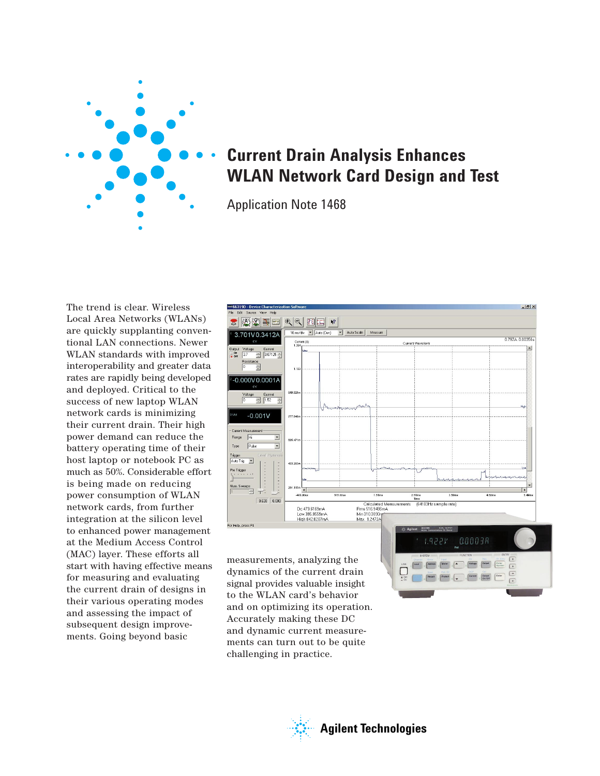

# **Current Drain Analysis Enhances WLAN Network Card Design and Test**

Application Note 1468

The trend is clear. Wireless Local Area Networks (WLANs) are quickly supplanting conventional LAN connections. Newer WLAN standards with improved interoperability and greater data rates are rapidly being developed and deployed. Critical to the success of new laptop WLAN network cards is minimizing their current drain. Their high power demand can reduce the battery operating time of their host laptop or notebook PC as much as 50%. Considerable effort is being made on reducing power consumption of WLAN network cards, from further integration at the silicon level to enhanced power management at the Medium Access Control (MAC) layer. These efforts all start with having effective means for measuring and evaluating the current drain of designs in their various operating modes and assessing the impact of subsequent design improvements. Going beyond basic



 $\left\lceil \frac{\text{Total}}{\text{Total}} \right\rceil \ge \left\lceil \frac{\text{Initial}}{\text{Addition}} \right\rceil \ge \left\lceil \frac{\text{Multi}}{\text{Multi}} \right\rceil \ge \left\lceil \frac{\text{Multi}}{\text{Multi}} \right\rceil \ge \left\lceil \frac{\text{Multi}}{\text{Multi}} \right\rceil \ge \left\lceil \frac{\text{Multi}}{\text{Multi}} \right\rceil \ge \left\lceil \frac{\text{Unit}}{\text{Multi}} \right\rceil \ge \left\lceil \frac{\text{Unit}}{\text{Multi}} \right\rceil \ge \left\lceil \frac{\text{Unit}}{\text{Multi}} \right\rceil$  $\boxed{\qquad \qquad \circledcirc \qquad \circledcirc \qquad \circledcirc \qquad \circledcirc \qquad \circledcirc \qquad \circledcirc \qquad \circledcirc \qquad \circledcirc \qquad \circledcirc \qquad \circledcirc \qquad \circledcirc \qquad \circledcirc \qquad \circledcirc \qquad \circledcirc \qquad \circledcirc \qquad \circledcirc \qquad \circledcirc \qquad \circledcirc \qquad \circledcirc \qquad \circledcirc \qquad \circledcirc \qquad \circledcirc \qquad \circledcirc \qquad \circledcirc \qquad \circledcirc \qquad \circledcirc \qquad \circledcirc \qquad \circledcirc \qquad \circledcirc \qquad \circledcirc \qquad \circ$ 

measurements, analyzing the dynamics of the current drain signal provides valuable insight to the WLAN card's behavior and on optimizing its operation. Accurately making these DC and dynamic current measurements can turn out to be quite challenging in practice.

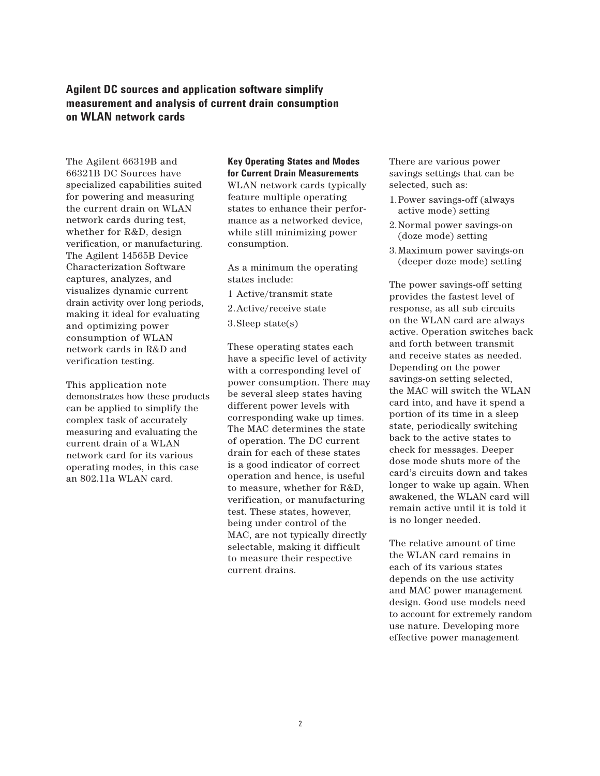## **Agilent DC sources and application software simplify measurement and analysis of current drain consumption on WLAN network cards**

The Agilent 66319B and 66321B DC Sources have specialized capabilities suited for powering and measuring the current drain on WLAN network cards during test, whether for R&D, design verification, or manufacturing. The Agilent 14565B Device Characterization Software captures, analyzes, and visualizes dynamic current drain activity over long periods, making it ideal for evaluating and optimizing power consumption of WLAN network cards in R&D and verification testing.

This application note demonstrates how these products can be applied to simplify the complex task of accurately measuring and evaluating the current drain of a WLAN network card for its various operating modes, in this case an 802.11a WLAN card.

## **Key Operating States and Modes for Current Drain Measurements**

WLAN network cards typically feature multiple operating states to enhance their performance as a networked device, while still minimizing power consumption.

As a minimum the operating states include:

1 Active/transmit state

2.Active/receive state

3.Sleep state(s)

These operating states each have a specific level of activity with a corresponding level of power consumption. There may be several sleep states having different power levels with corresponding wake up times. The MAC determines the state of operation. The DC current drain for each of these states is a good indicator of correct operation and hence, is useful to measure, whether for R&D, verification, or manufacturing test. These states, however, being under control of the MAC, are not typically directly selectable, making it difficult to measure their respective current drains.

There are various power savings settings that can be selected, such as:

- 1.Power savings-off (always active mode) setting
- 2.Normal power savings-on (doze mode) setting
- 3.Maximum power savings-on (deeper doze mode) setting

The power savings-off setting provides the fastest level of response, as all sub circuits on the WLAN card are always active. Operation switches back and forth between transmit and receive states as needed. Depending on the power savings-on setting selected, the MAC will switch the WLAN card into, and have it spend a portion of its time in a sleep state, periodically switching back to the active states to check for messages. Deeper dose mode shuts more of the card's circuits down and takes longer to wake up again. When awakened, the WLAN card will remain active until it is told it is no longer needed.

The relative amount of time the WLAN card remains in each of its various states depends on the use activity and MAC power management design. Good use models need to account for extremely random use nature. Developing more effective power management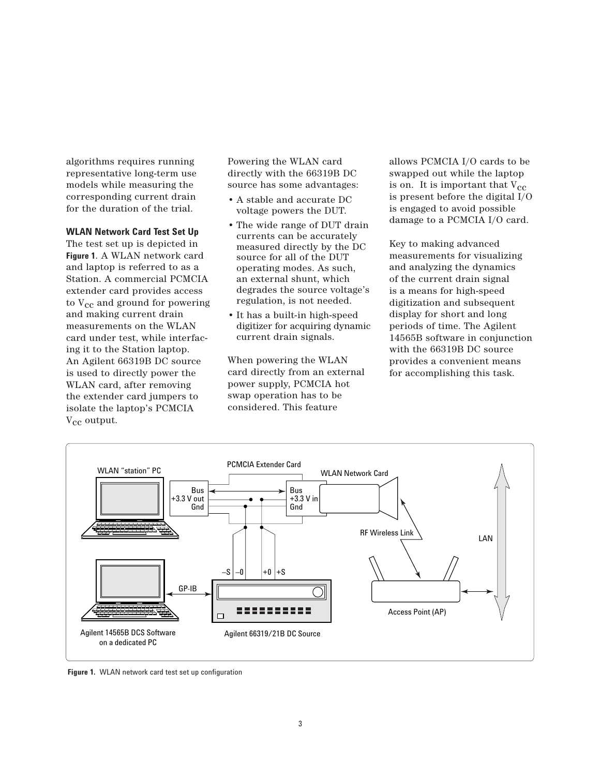algorithms requires running representative long-term use models while measuring the corresponding current drain for the duration of the trial.

#### **WLAN Network Card Test Set Up**

The test set up is depicted in **Figure 1**. A WLAN network card and laptop is referred to as a Station. A commercial PCMCIA extender card provides access to  $V_{cc}$  and ground for powering and making current drain measurements on the WLAN card under test, while interfacing it to the Station laptop. An Agilent 66319B DC source is used to directly power the WLAN card, after removing the extender card jumpers to isolate the laptop's PCMCIA V<sub>cc</sub> output.

Powering the WLAN card directly with the 66319B DC source has some advantages:

- A stable and accurate DC voltage powers the DUT.
- The wide range of DUT drain currents can be accurately measured directly by the DC source for all of the DUT operating modes. As such, an external shunt, which degrades the source voltage's regulation, is not needed.
- It has a built-in high-speed digitizer for acquiring dynamic current drain signals.

When powering the WLAN card directly from an external power supply, PCMCIA hot swap operation has to be considered. This feature

allows PCMCIA I/O cards to be swapped out while the laptop is on. It is important that  $V_{cc}$ is present before the digital I/O is engaged to avoid possible damage to a PCMCIA I/O card.

Key to making advanced measurements for visualizing and analyzing the dynamics of the current drain signal is a means for high-speed digitization and subsequent display for short and long periods of time. The Agilent 14565B software in conjunction with the 66319B DC source provides a convenient means for accomplishing this task.



**Figure 1.** WLAN network card test set up configuration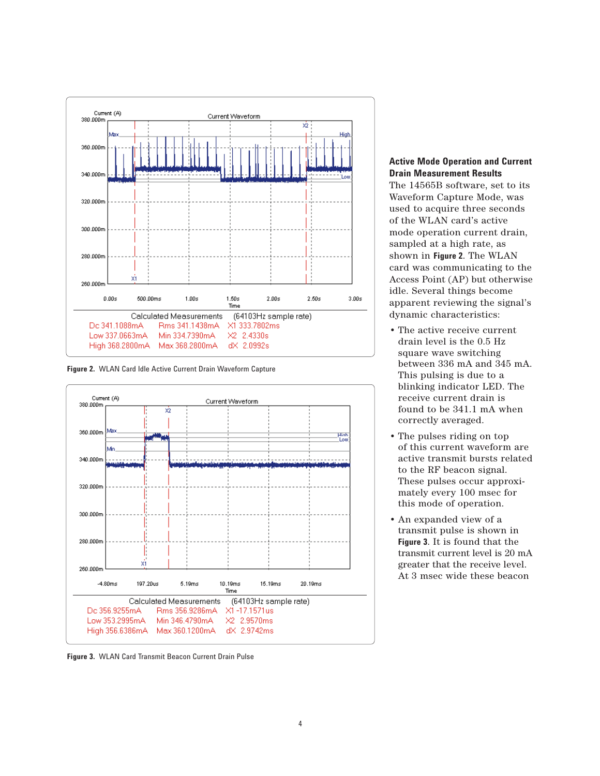

**Figure 2.** WLAN Card Idle Active Current Drain Waveform Capture



**Figure 3.** WLAN Card Transmit Beacon Current Drain Pulse

### **Active Mode Operation and Current Drain Measurement Results**

The 14565B software, set to its Waveform Capture Mode, was used to acquire three seconds of the WLAN card's active mode operation current drain, sampled at a high rate, as shown in **Figure 2**. The WLAN card was communicating to the Access Point (AP) but otherwise idle. Several things become apparent reviewing the signal's dynamic characteristics:

- The active receive current drain level is the 0.5 Hz square wave switching between 336 mA and 345 mA. This pulsing is due to a blinking indicator LED. The receive current drain is found to be 341.1 mA when correctly averaged.
- The pulses riding on top of this current waveform are active transmit bursts related to the RF beacon signal. These pulses occur approximately every 100 msec for this mode of operation.
- An expanded view of a transmit pulse is shown in **Figure 3**. It is found that the transmit current level is 20 mA greater that the receive level. At 3 msec wide these beacon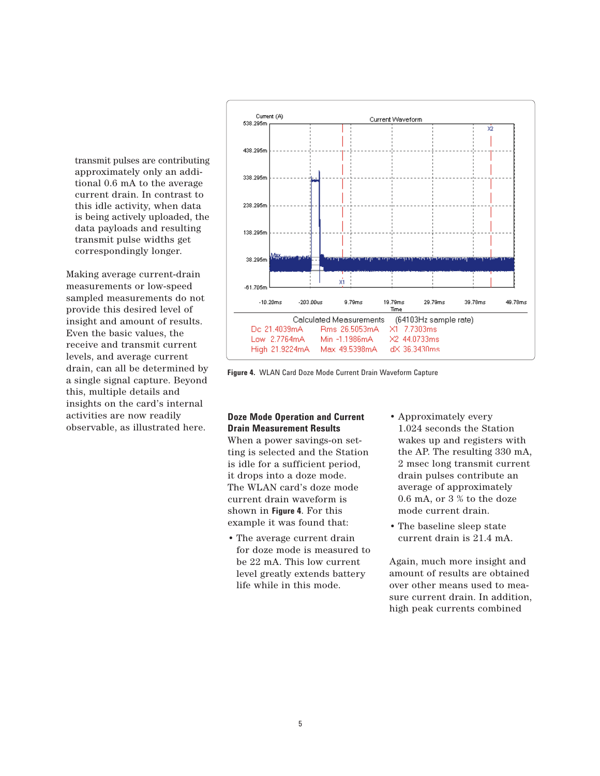transmit pulses are contributing approximately only an additional 0.6 mA to the average current drain. In contrast to this idle activity, when data is being actively uploaded, the data payloads and resulting transmit pulse widths get correspondingly longer.

Making average current-drain measurements or low-speed sampled measurements do not provide this desired level of insight and amount of results. Even the basic values, the receive and transmit current levels, and average current drain, can all be determined by a single signal capture. Beyond this, multiple details and insights on the card's internal activities are now readily observable, as illustrated here.



**Figure 4.** WLAN Card Doze Mode Current Drain Waveform Capture

## **Doze Mode Operation and Current Drain Measurement Results**

When a power savings-on setting is selected and the Station is idle for a sufficient period, it drops into a doze mode. The WLAN card's doze mode current drain waveform is shown in **Figure 4**. For this example it was found that:

- The average current drain for doze mode is measured to be 22 mA. This low current level greatly extends battery life while in this mode.
- Approximately every 1.024 seconds the Station wakes up and registers with the AP. The resulting 330 mA, 2 msec long transmit current drain pulses contribute an average of approximately 0.6 mA, or 3 % to the doze mode current drain.
- The baseline sleep state current drain is 21.4 mA.

Again, much more insight and amount of results are obtained over other means used to measure current drain. In addition, high peak currents combined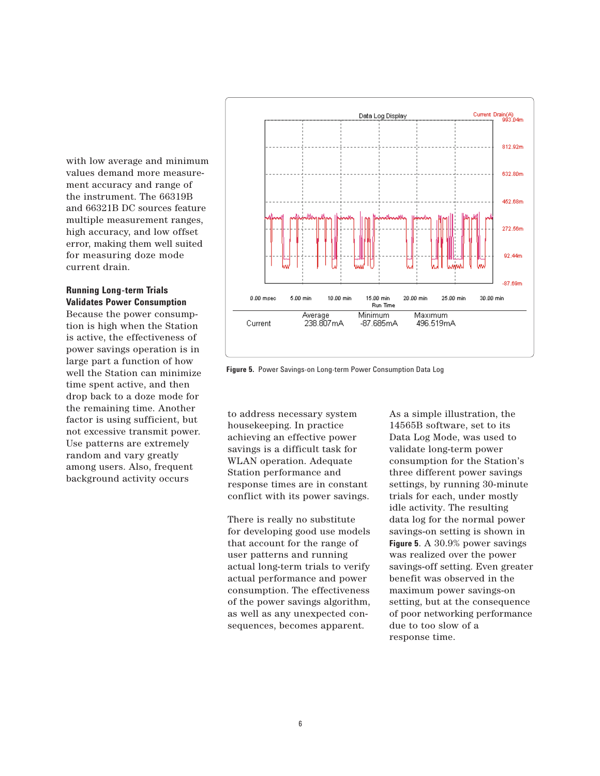with low average and minimum values demand more measurement accuracy and range of the instrument. The 66319B and 66321B DC sources feature multiple measurement ranges, high accuracy, and low offset error, making them well suited for measuring doze mode current drain.

#### **Running Long-term Trials Validates Power Consumption**

Because the power consumption is high when the Station is active, the effectiveness of power savings operation is in large part a function of how well the Station can minimize time spent active, and then drop back to a doze mode for the remaining time. Another factor is using sufficient, but not excessive transmit power. Use patterns are extremely random and vary greatly among users. Also, frequent background activity occurs



**Figure 5.** Power Savings-on Long-term Power Consumption Data Log

to address necessary system housekeeping. In practice achieving an effective power savings is a difficult task for WLAN operation. Adequate Station performance and response times are in constant conflict with its power savings.

There is really no substitute for developing good use models that account for the range of user patterns and running actual long-term trials to verify actual performance and power consumption. The effectiveness of the power savings algorithm, as well as any unexpected consequences, becomes apparent.

As a simple illustration, the 14565B software, set to its Data Log Mode, was used to validate long-term power consumption for the Station's three different power savings settings, by running 30-minute trials for each, under mostly idle activity. The resulting data log for the normal power savings-on setting is shown in **Figure 5**. A 30.9% power savings was realized over the power savings-off setting. Even greater benefit was observed in the maximum power savings-on setting, but at the consequence of poor networking performance due to too slow of a response time.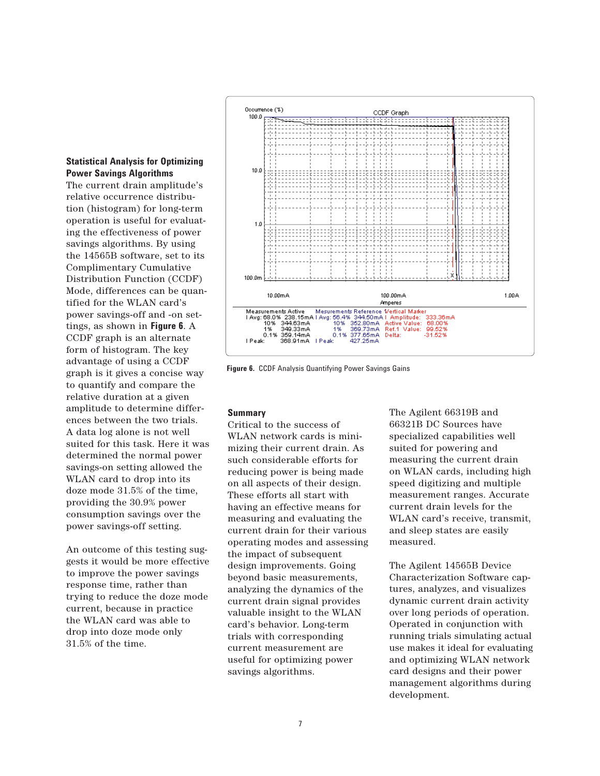### **Statistical Analysis for Optimizing Power Savings Algorithms**

The current drain amplitude's relative occurrence distribution (histogram) for long-term operation is useful for evaluating the effectiveness of power savings algorithms. By using the 14565B software, set to its Complimentary Cumulative Distribution Function (CCDF) Mode, differences can be quantified for the WLAN card's power savings-off and -on settings, as shown in **Figure 6**. A CCDF graph is an alternate form of histogram. The key advantage of using a CCDF graph is it gives a concise way to quantify and compare the relative duration at a given amplitude to determine differences between the two trials. A data log alone is not well suited for this task. Here it was determined the normal power savings-on setting allowed the WLAN card to drop into its doze mode 31.5% of the time, providing the 30.9% power consumption savings over the power savings-off setting.

An outcome of this testing suggests it would be more effective to improve the power savings response time, rather than trying to reduce the doze mode current, because in practice the WLAN card was able to drop into doze mode only 31.5% of the time.



**Figure 6.** CCDF Analysis Quantifying Power Savings Gains

### **Summary**

Critical to the success of WLAN network cards is minimizing their current drain. As such considerable efforts for reducing power is being made on all aspects of their design. These efforts all start with having an effective means for measuring and evaluating the current drain for their various operating modes and assessing the impact of subsequent design improvements. Going beyond basic measurements, analyzing the dynamics of the current drain signal provides valuable insight to the WLAN card's behavior. Long-term trials with corresponding current measurement are useful for optimizing power savings algorithms.

The Agilent 66319B and 66321B DC Sources have specialized capabilities well suited for powering and measuring the current drain on WLAN cards, including high speed digitizing and multiple measurement ranges. Accurate current drain levels for the WLAN card's receive, transmit, and sleep states are easily measured.

The Agilent 14565B Device Characterization Software captures, analyzes, and visualizes dynamic current drain activity over long periods of operation. Operated in conjunction with running trials simulating actual use makes it ideal for evaluating and optimizing WLAN network card designs and their power management algorithms during development.